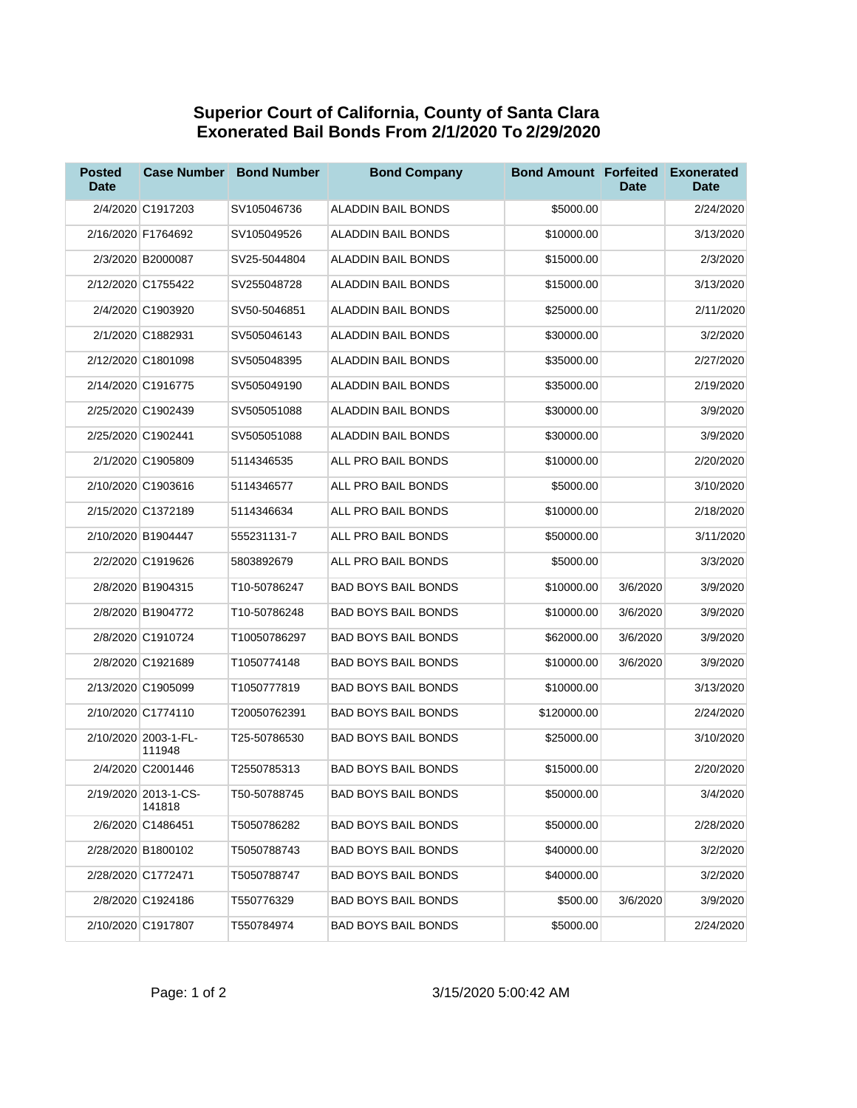## **Superior Court of California, County of Santa Clara Exonerated Bail Bonds From 2/1/2020 To 2/29/2020**

| <b>Posted</b><br><b>Date</b> | <b>Case Number</b>             | <b>Bond Number</b> | <b>Bond Company</b>        | <b>Bond Amount Forfeited</b> | <b>Date</b> | <b>Exonerated</b><br><b>Date</b> |
|------------------------------|--------------------------------|--------------------|----------------------------|------------------------------|-------------|----------------------------------|
|                              | 2/4/2020 C1917203              | SV105046736        | ALADDIN BAIL BONDS         | \$5000.00                    |             | 2/24/2020                        |
|                              | 2/16/2020 F1764692             | SV105049526        | ALADDIN BAIL BONDS         | \$10000.00                   |             | 3/13/2020                        |
|                              | 2/3/2020 B2000087              | SV25-5044804       | <b>ALADDIN BAIL BONDS</b>  | \$15000.00                   |             | 2/3/2020                         |
|                              | 2/12/2020 C1755422             | SV255048728        | ALADDIN BAIL BONDS         | \$15000.00                   |             | 3/13/2020                        |
|                              | 2/4/2020 C1903920              | SV50-5046851       | <b>ALADDIN BAIL BONDS</b>  | \$25000.00                   |             | 2/11/2020                        |
|                              | 2/1/2020 C1882931              | SV505046143        | <b>ALADDIN BAIL BONDS</b>  | \$30000.00                   |             | 3/2/2020                         |
|                              | 2/12/2020 C1801098             | SV505048395        | ALADDIN BAIL BONDS         | \$35000.00                   |             | 2/27/2020                        |
|                              | 2/14/2020 C1916775             | SV505049190        | ALADDIN BAIL BONDS         | \$35000.00                   |             | 2/19/2020                        |
|                              | 2/25/2020 C1902439             | SV505051088        | ALADDIN BAIL BONDS         | \$30000.00                   |             | 3/9/2020                         |
|                              | 2/25/2020 C1902441             | SV505051088        | ALADDIN BAIL BONDS         | \$30000.00                   |             | 3/9/2020                         |
|                              | 2/1/2020 C1905809              | 5114346535         | ALL PRO BAIL BONDS         | \$10000.00                   |             | 2/20/2020                        |
|                              | 2/10/2020 C1903616             | 5114346577         | ALL PRO BAIL BONDS         | \$5000.00                    |             | 3/10/2020                        |
|                              | 2/15/2020 C1372189             | 5114346634         | ALL PRO BAIL BONDS         | \$10000.00                   |             | 2/18/2020                        |
|                              | 2/10/2020 B1904447             | 555231131-7        | ALL PRO BAIL BONDS         | \$50000.00                   |             | 3/11/2020                        |
|                              | 2/2/2020 C1919626              | 5803892679         | ALL PRO BAIL BONDS         | \$5000.00                    |             | 3/3/2020                         |
|                              | 2/8/2020 B1904315              | T10-50786247       | <b>BAD BOYS BAIL BONDS</b> | \$10000.00                   | 3/6/2020    | 3/9/2020                         |
|                              | 2/8/2020 B1904772              | T10-50786248       | <b>BAD BOYS BAIL BONDS</b> | \$10000.00                   | 3/6/2020    | 3/9/2020                         |
|                              | 2/8/2020 C1910724              | T10050786297       | <b>BAD BOYS BAIL BONDS</b> | \$62000.00                   | 3/6/2020    | 3/9/2020                         |
|                              | 2/8/2020 C1921689              | T1050774148        | <b>BAD BOYS BAIL BONDS</b> | \$10000.00                   | 3/6/2020    | 3/9/2020                         |
|                              | 2/13/2020 C1905099             | T1050777819        | <b>BAD BOYS BAIL BONDS</b> | \$10000.00                   |             | 3/13/2020                        |
|                              | 2/10/2020 C1774110             | T20050762391       | <b>BAD BOYS BAIL BONDS</b> | \$120000.00                  |             | 2/24/2020                        |
|                              | 2/10/2020 2003-1-FL-<br>111948 | T25-50786530       | <b>BAD BOYS BAIL BONDS</b> | \$25000.00                   |             | 3/10/2020                        |
|                              | 2/4/2020 C2001446              | T2550785313        | <b>BAD BOYS BAIL BONDS</b> | \$15000.00                   |             | 2/20/2020                        |
|                              | 2/19/2020 2013-1-CS-<br>141818 | T50-50788745       | BAD BOYS BAIL BONDS        | \$50000.00                   |             | 3/4/2020                         |
|                              | 2/6/2020 C1486451              | T5050786282        | BAD BOYS BAIL BONDS        | \$50000.00                   |             | 2/28/2020                        |
|                              | 2/28/2020 B1800102             | T5050788743        | BAD BOYS BAIL BONDS        | \$40000.00                   |             | 3/2/2020                         |
|                              | 2/28/2020 C1772471             | T5050788747        | BAD BOYS BAIL BONDS        | \$40000.00                   |             | 3/2/2020                         |
|                              | 2/8/2020 C1924186              | T550776329         | BAD BOYS BAIL BONDS        | \$500.00                     | 3/6/2020    | 3/9/2020                         |
|                              | 2/10/2020 C1917807             | T550784974         | <b>BAD BOYS BAIL BONDS</b> | \$5000.00                    |             | 2/24/2020                        |

## Page: 1 of 2 3/15/2020 5:00:42 AM